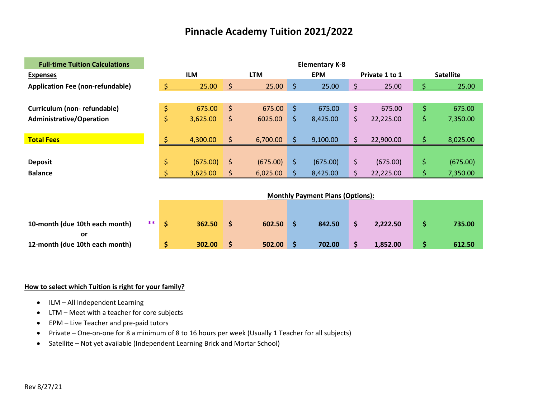| <b>Full-time Tuition Calculations</b>   | <b>Elementary K-8</b> |    |            |            |          |                  |                                         |         |                |                  |          |  |
|-----------------------------------------|-----------------------|----|------------|------------|----------|------------------|-----------------------------------------|---------|----------------|------------------|----------|--|
| <b>Expenses</b>                         |                       |    | <b>ILM</b> | <b>LTM</b> |          | <b>EPM</b>       |                                         |         | Private 1 to 1 | <b>Satellite</b> |          |  |
| <b>Application Fee (non-refundable)</b> |                       | S  | 25.00      | S.         | 25.00    | $\ddot{\varphi}$ | 25.00                                   | \$      | 25.00          |                  | 25.00    |  |
|                                         |                       |    |            |            |          |                  |                                         |         |                |                  |          |  |
| Curriculum (non-refundable)             |                       | \$ | 675.00     | $\zeta$    | 675.00   | $\zeta$          | 675.00                                  | \$      | 675.00         | \$.              | 675.00   |  |
| <b>Administrative/Operation</b>         |                       | \$ | 3,625.00   | \$         | 6025.00  | \$.              | 8,425.00                                | \$.     | 22,225.00      | \$.              | 7,350.00 |  |
|                                         |                       |    |            |            |          |                  |                                         |         |                |                  |          |  |
| <b>Total Fees</b>                       |                       | \$ | 4,300.00   | \$         | 6,700.00 | \$               | 9,100.00                                | $\zeta$ | 22,900.00      | \$.              | 8,025.00 |  |
|                                         |                       |    |            |            |          |                  |                                         |         |                |                  |          |  |
| <b>Deposit</b>                          |                       | \$ | (675.00)   | \$         | (675.00) | \$.              | (675.00)                                | \$      | (675.00)       | \$.              | (675.00) |  |
| <b>Balance</b>                          |                       | \$ | 3,625.00   | \$         | 6,025.00 | \$               | 8,425.00                                | \$      | 22,225.00      | \$               | 7,350.00 |  |
|                                         |                       |    |            |            |          |                  |                                         |         |                |                  |          |  |
|                                         |                       |    |            |            |          |                  | <b>Monthly Payment Plans (Options):</b> |         |                |                  |          |  |
|                                         |                       |    |            |            |          |                  |                                         |         |                |                  |          |  |
|                                         |                       |    |            |            |          |                  |                                         |         |                |                  |          |  |
| 10-month (due 10th each month)          | $***$                 | \$ | 362.50     | \$         | 602.50   | \$               | 842.50                                  | \$      | 2,222.50       | \$               | 735.00   |  |

**or 12-month (due 10th each month) \$ 302.00 \$ 502.00 \$ 702.00 \$ 1,852.00 \$ 612.50** 

- ILM All Independent Learning
- LTM Meet with a teacher for core subjects
- EPM Live Teacher and pre-paid tutors
- Private One-on-one for 8 a minimum of 8 to 16 hours per week (Usually 1 Teacher for all subjects)
- Satellite Not yet available (Independent Learning Brick and Mortar School)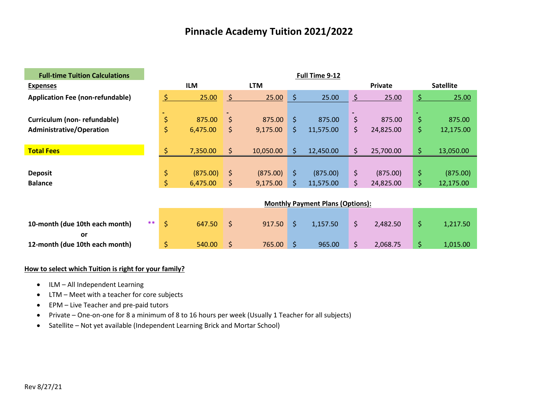| <b>Full-time Tuition Calculations</b>                                            | Full Time 9-12       |            |     |            |         |                                         |             |                |     |                  |  |  |
|----------------------------------------------------------------------------------|----------------------|------------|-----|------------|---------|-----------------------------------------|-------------|----------------|-----|------------------|--|--|
| <b>Expenses</b>                                                                  |                      | <b>ILM</b> |     | <b>LTM</b> |         |                                         |             | <b>Private</b> |     | <b>Satellite</b> |  |  |
| <b>Application Fee (non-refundable)</b>                                          |                      | 25.00      | \$. | 25.00      | \$      | 25.00                                   | $\varsigma$ | 25.00          | S.  | 25.00            |  |  |
|                                                                                  |                      |            |     |            |         |                                         |             |                |     |                  |  |  |
| Curriculum (non-refundable)                                                      | \$                   | 875.00     | \$  | 875.00     | $\zeta$ | 875.00                                  | \$          | 875.00         | \$  | 875.00           |  |  |
| <b>Administrative/Operation</b>                                                  | \$                   | 6,475.00   | \$  | 9,175.00   | \$      | 11,575.00                               | \$          | 24,825.00      | \$  | 12,175.00        |  |  |
|                                                                                  |                      |            |     |            |         |                                         |             |                |     |                  |  |  |
| <b>Total Fees</b>                                                                |                      | 7,350.00   | \$  | 10,050.00  | \$      | 12,450.00                               | $\zeta$     | 25,700.00      | \$. | 13,050.00        |  |  |
|                                                                                  |                      |            |     |            |         |                                         |             |                |     |                  |  |  |
| <b>Deposit</b>                                                                   | \$                   | (875.00)   | \$  | (875.00)   | \$      | (875.00)                                | \$          | (875.00)       | \$. | (875.00)         |  |  |
| <b>Balance</b>                                                                   | \$                   | 6,475.00   | \$  | 9,175.00   | \$      | 11,575.00                               | $\zeta$     | 24,825.00      | \$. | 12,175.00        |  |  |
|                                                                                  |                      |            |     |            |         |                                         |             |                |     |                  |  |  |
|                                                                                  |                      |            |     |            |         | <b>Monthly Payment Plans (Options):</b> |             |                |     |                  |  |  |
|                                                                                  |                      |            |     |            |         |                                         |             |                |     |                  |  |  |
| $\mathbf{a}$ and $\mathbf{a}$ and $\mathbf{a}$ and $\mathbf{a}$ and $\mathbf{a}$ | <b>Contractor</b> of | .          |     | -------    |         | .                                       |             |                |     |                  |  |  |

| 10-month (due 10th each month) |  | 647.50 | 917.50 S | 1.157.50 | 2.482.50 | 1.217.50 |
|--------------------------------|--|--------|----------|----------|----------|----------|
|                                |  |        |          |          |          |          |
| 12-month (due 10th each month) |  | 540.00 | 765.00   | 965.00   | 2.068.75 | 1.015.00 |

- ILM All Independent Learning
- LTM Meet with a teacher for core subjects
- EPM Live Teacher and pre-paid tutors
- Private One-on-one for 8 a minimum of 8 to 16 hours per week (Usually 1 Teacher for all subjects)
- Satellite Not yet available (Independent Learning Brick and Mortar School)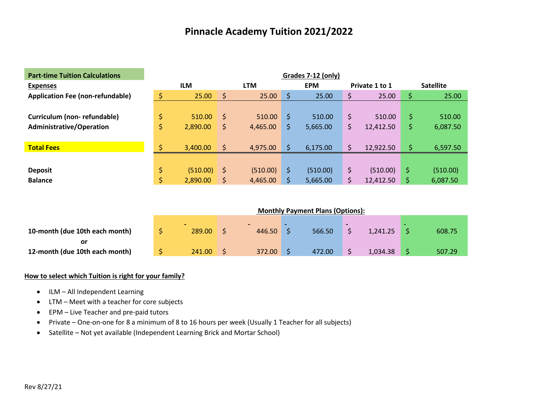| <b>Part-time Tuition Calculations</b>   | Grades 7-12 (only) |            |              |            |    |            |    |                |    |                  |  |
|-----------------------------------------|--------------------|------------|--------------|------------|----|------------|----|----------------|----|------------------|--|
| <b>Expenses</b>                         |                    | <b>ILM</b> |              | <b>LTM</b> |    | <b>EPM</b> |    | Private 1 to 1 |    | <b>Satellite</b> |  |
| <b>Application Fee (non-refundable)</b> |                    | 25.00      | \$           | 25.00      | Ŝ  | 25.00      | \$ | 25.00          | \$ | 25.00            |  |
|                                         |                    |            |              |            |    |            |    |                |    |                  |  |
| Curriculum (non-refundable)             |                    | 510.00     | <sub>S</sub> | 510.00     | Ŝ  | 510.00     | \$ | 510.00         | \$ | 510.00           |  |
| <b>Administrative/Operation</b>         |                    | 2,890.00   | S.           | 4,465.00   | \$ | 5,665.00   | \$ | 12,412.50      | \$ | 6,087.50         |  |
|                                         |                    |            |              |            |    |            |    |                |    |                  |  |
| <b>Total Fees</b>                       |                    | 3,400.00   | \$           | 4,975.00   |    | 6,175.00   |    | 12,922.50      | \$ | 6,597.50         |  |
|                                         |                    |            |              |            |    |            |    |                |    |                  |  |
| <b>Deposit</b>                          | \$                 | (510.00)   | -\$          | (510.00)   | \$ | (510.00)   | \$ | (510.00)       | \$ | (510.00)         |  |
| <b>Balance</b>                          | \$                 | 2,890.00   | S.           | 4,465.00   | \$ | 5,665.00   | Ś  | 12,412.50      |    | 6,087.50         |  |

|                                | <b>Monthly Payment Plans (Options):</b> |        |  |        |  |        |  |          |  |        |  |
|--------------------------------|-----------------------------------------|--------|--|--------|--|--------|--|----------|--|--------|--|
|                                |                                         |        |  |        |  |        |  |          |  |        |  |
| 10-month (due 10th each month) |                                         | 289.00 |  | 446.50 |  | 566.50 |  | 1,241.25 |  | 608.75 |  |
|                                |                                         |        |  |        |  |        |  |          |  |        |  |
| 12-month (due 10th each month) |                                         | 241.00 |  | 372.00 |  | 472.00 |  | 1,034.38 |  | 507.29 |  |

- ILM All Independent Learning
- LTM Meet with a teacher for core subjects
- EPM Live Teacher and pre-paid tutors
- Private One-on-one for 8 a minimum of 8 to 16 hours per week (Usually 1 Teacher for all subjects)
- Satellite Not yet available (Independent Learning Brick and Mortar School)